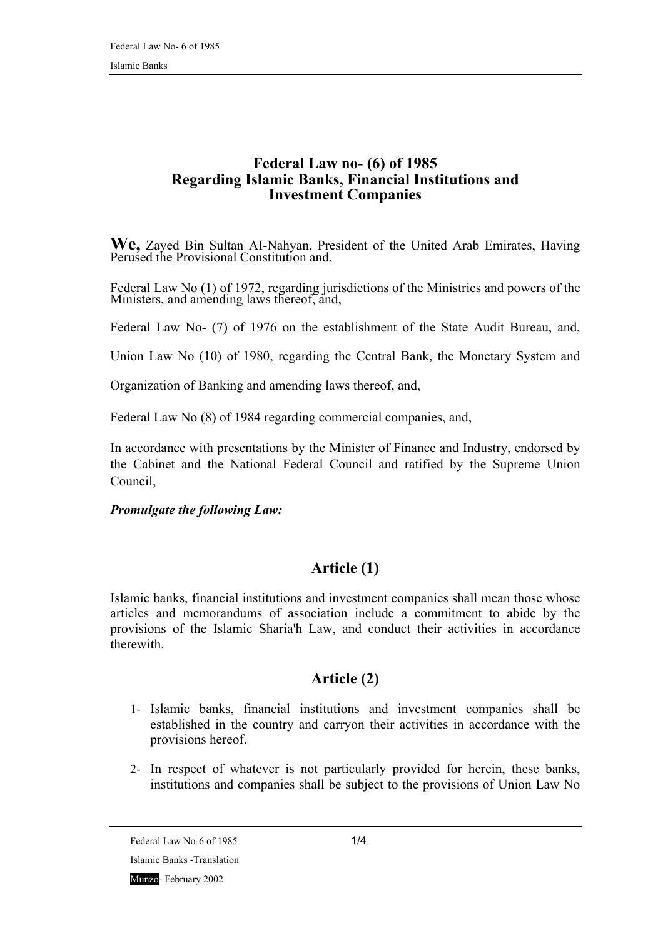#### **Federal Law no- (6) of 1985 Regarding Islamic Banks, Financial Institutions and Investment Companies**

**We,** Zayed Bin Sultan AI-Nahyan, President of the United Arab Emirates, Having Perused the Provisional Constitution and,

Federal Law No (1) of 1972, regarding jurisdictions of the Ministries and powers of the Ministers, and amending laws thereof, and,

Federal Law No- (7) of 1976 on the establishment of the State Audit Bureau, and,

Union Law No (10) of 1980, regarding the Central Bank, the Monetary System and

Organization of Banking and amending laws thereof, and,

Federal Law No (8) of 1984 regarding commercial companies, and,

In accordance with presentations by the Minister of Finance and Industry, endorsed by the Cabinet and the National Federal Council and ratified by the Supreme Union Council,

*Promulgate the following Law:* 

### **Article (1)**

Islamic banks, financial institutions and investment companies shall mean those whose articles and memorandums of association include a commitment to abide by the provisions of the Islamic Sharia'h Law, and conduct their activities in accordance therewith.

### **Article (2)**

- 1- Islamic banks, financial institutions and investment companies shall be established in the country and carryon their activities in accordance with the provisions hereof.
- 2- In respect of whatever is not particularly provided for herein, these banks, institutions and companies shall be subject to the provisions of Union Law No

Federal Law No-6 of  $1985$  1/4

Islamic Banks -Translation

Munzo- February 2002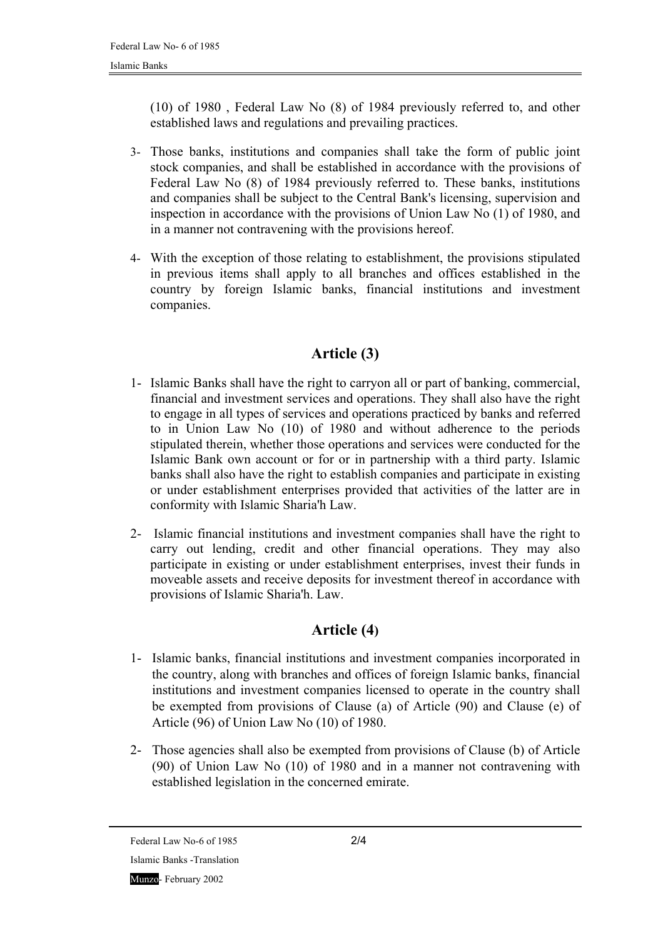(10) of 1980 , Federal Law No (8) of 1984 previously referred to, and other established laws and regulations and prevailing practices.

- 3- Those banks, institutions and companies shall take the form of public joint stock companies, and shall be established in accordance with the provisions of Federal Law No (8) of 1984 previously referred to. These banks, institutions and companies shall be subject to the Central Bank's licensing, supervision and inspection in accordance with the provisions of Union Law No (1) of 1980, and in a manner not contravening with the provisions hereof.
- 4- With the exception of those relating to establishment, the provisions stipulated in previous items shall apply to all branches and offices established in the country by foreign Islamic banks, financial institutions and investment companies.

# **Article (3)**

- 1- Islamic Banks shall have the right to carryon all or part of banking, commercial, financial and investment services and operations. They shall also have the right to engage in all types of services and operations practiced by banks and referred to in Union Law No (10) of 1980 and without adherence to the periods stipulated therein, whether those operations and services were conducted for the Islamic Bank own account or for or in partnership with a third party. Islamic banks shall also have the right to establish companies and participate in existing or under establishment enterprises provided that activities of the latter are in conformity with Islamic Sharia'h Law.
- 2- Islamic financial institutions and investment companies shall have the right to carry out lending, credit and other financial operations. They may also participate in existing or under establishment enterprises, invest their funds in moveable assets and receive deposits for investment thereof in accordance with provisions of Islamic Sharia'h. Law.

# **Article (4)**

- 1- Islamic banks, financial institutions and investment companies incorporated in the country, along with branches and offices of foreign Islamic banks, financial institutions and investment companies licensed to operate in the country shall be exempted from provisions of Clause (a) of Article (90) and Clause (e) of Article (96) of Union Law No (10) of 1980.
- 2- Those agencies shall also be exempted from provisions of Clause (b) of Article (90) of Union Law No (10) of 1980 and in a manner not contravening with established legislation in the concerned emirate.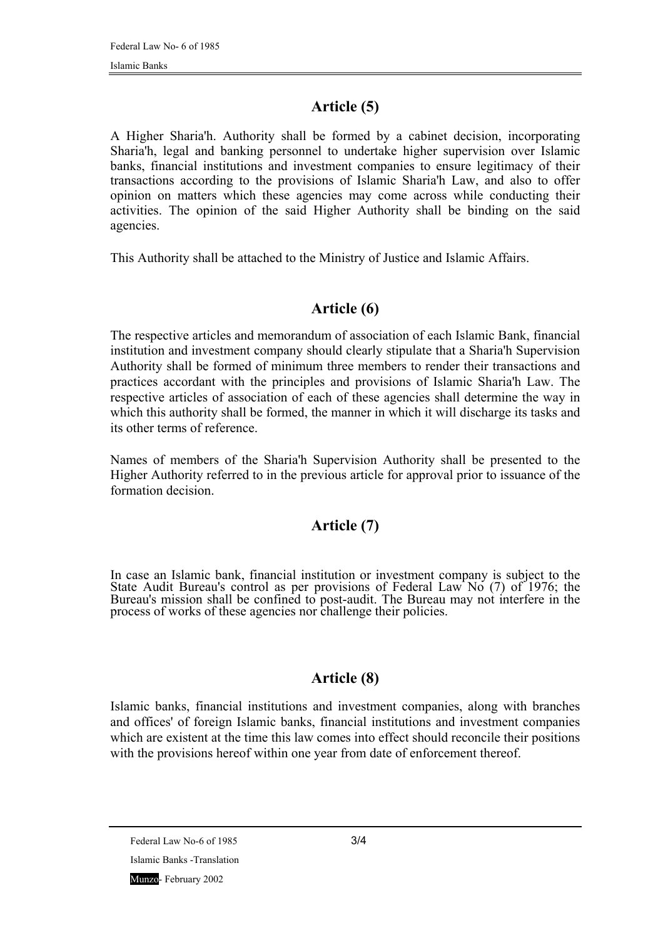# **Article (5)**

A Higher Sharia'h. Authority shall be formed by a cabinet decision, incorporating Sharia'h, legal and banking personnel to undertake higher supervision over Islamic banks, financial institutions and investment companies to ensure legitimacy of their transactions according to the provisions of Islamic Sharia'h Law, and also to offer opinion on matters which these agencies may come across while conducting their activities. The opinion of the said Higher Authority shall be binding on the said agencies.

This Authority shall be attached to the Ministry of Justice and Islamic Affairs.

## **Article (6)**

The respective articles and memorandum of association of each Islamic Bank, financial institution and investment company should clearly stipulate that a Sharia'h Supervision Authority shall be formed of minimum three members to render their transactions and practices accordant with the principles and provisions of Islamic Sharia'h Law. The respective articles of association of each of these agencies shall determine the way in which this authority shall be formed, the manner in which it will discharge its tasks and its other terms of reference.

Names of members of the Sharia'h Supervision Authority shall be presented to the Higher Authority referred to in the previous article for approval prior to issuance of the formation decision.

# **Article (7)**

In case an Islamic bank, financial institution or investment company is subject to the State Audit Bureau's control as per provisions of Federal Law  $\overline{No}$  (7) of 1976; the Bureau's mission shall be confined to post-audit. The Bureau may not interfere in the process of works of these agencies nor challenge their policies.

### **Article (8)**

Islamic banks, financial institutions and investment companies, along with branches and offices' of foreign Islamic banks, financial institutions and investment companies which are existent at the time this law comes into effect should reconcile their positions with the provisions hereof within one year from date of enforcement thereof.

Federal Law No-6 of 1985 3/4 Islamic Banks -Translation Munzo- February 2002